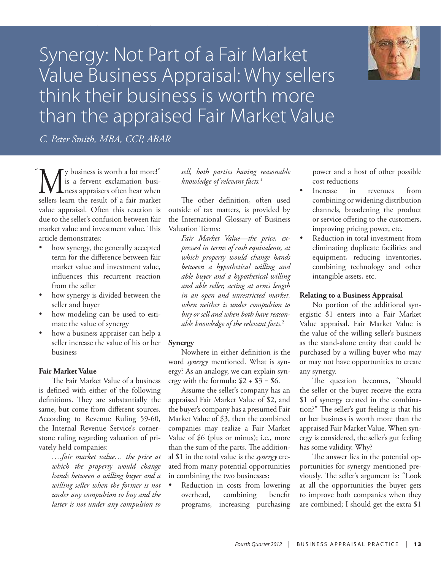

# Synergy: Not Part of a Fair Market Value Business Appraisal: Why sellers think their business is worth more than the appraised Fair Market Value

An Analysis of  $\mathbb{R}^n$  and  $\mathbb{R}^n$  respectively. The epoch in Business Appraisal R epoch in Business Appraisal R epoch in Business Appraisal R epoch in Business Appraisal R epoch in Business Appraisal R epoch in Bus

*C. Peter Smith, MBA, CCP, ABAR*

We business is worth a lot more!"<br>
is a fervent exclamation busi-<br>
ness appraisers often hear when<br>
sellers learn the result of a fair market is a fervent exclamation busisellers learn the result of a fair market value appraisal. Often this reaction is due to the seller's confusion between fair market value and investment value. This article demonstrates:  $\ddot{\phantom{0}}$ 

- how synergy, the generally accepted term for the difference between fair market value and investment value, influences this recurrent reaction from the seller
- how synergy is divided between the seller and buyer
- how modeling can be used to estimate the value of synergy
- how a business appraiser can help a seller increase the value of his or her business

# **Fair Market Value**

The Fair Market Value of a business is defined with either of the following definitions. They are substantially the same, but come from different sources. According to Revenue Ruling 59-60, the Internal Revenue Service's cornerstone ruling regarding valuation of privately held companies:

> *….fair market value… the price at which the property would change hands between a willing buyer and a willing seller when the former is not under any compulsion to buy and the latter is not under any compulsion to*

# *sell, both parties having reasonable knowledge of relevant facts.1*

The other definition, often used outside of tax matters, is provided by the International Glossary of Business Valuation Terms:

> *Fair Market Value—the price, expressed in terms of cash equivalents, at which property would change hands between a hypothetical willing and able buyer and a hypothetical willing and able seller, acting at arm's length in an open and unrestricted market, when neither is under compulsion to buy or sell and when both have reasonable knowledge of the relevant facts*. 2

# **Synergy**

Nowhere in either definition is the word *synergy* mentioned. What is synergy? As an analogy, we can explain synergy with the formula:  $$2 + $3 = $6$ .

Assume the seller's company has an appraised Fair Market Value of \$2, and the buyer's company has a presumed Fair Market Value of \$3, then the combined companies may realize a Fair Market Value of \$6 (plus or minus); i.e., more than the sum of the parts. The additional \$1 in the total value is the *synergy* created from many potential opportunities in combining the two businesses:

Reduction in costs from lowering overhead, combining benefit programs, increasing purchasing

power and a host of other possible cost reductions

- Increase in revenues from combining or widening distribution channels, broadening the product or service offering to the customers, improving pricing power, etc.
- Reduction in total investment from eliminating duplicate facilities and equipment, reducing inventories, combining technology and other intangible assets, etc.

# **Relating to a Business Appraisal**

No portion of the additional synergistic \$1 enters into a Fair Market Value appraisal. Fair Market Value is the value of the willing seller's business as the stand-alone entity that could be purchased by a willing buyer who may or may not have opportunities to create any synergy.

The question becomes, "Should the seller or the buyer receive the extra \$1 of synergy created in the combination?" The seller's gut feeling is that his or her business is worth more than the appraised Fair Market Value. When synergy is considered, the seller's gut feeling has some validity. Why?

The answer lies in the potential opportunities for synergy mentioned previously. The seller's argument is: "Look at all the opportunities the buyer gets to improve both companies when they are combined; I should get the extra \$1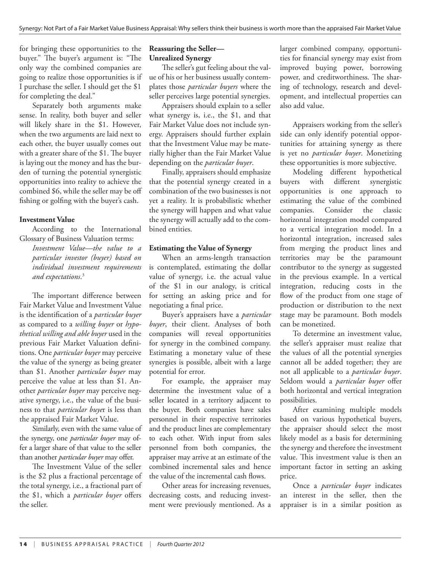for bringing these opportunities to the buyer." The buyer's argument is: "The only way the combined companies are going to realize those opportunities is if I purchase the seller. I should get the \$1 for completing the deal."

Separately both arguments make sense. In reality, both buyer and seller will likely share in the \$1. However, when the two arguments are laid next to each other, the buyer usually comes out with a greater share of the \$1. The buyer is laying out the money and has the burden of turning the potential synergistic opportunities into reality to achieve the combined \$6, while the seller may be off fishing or golfing with the buyer's cash.

## **Investment Value**

According to the International Glossary of Business Valuation terms:

*Investment Value—the value to a particular investor (buyer) based on individual investment requirements and expectations*. 3

The important difference between Fair Market Value and Investment Value is the identification of a *particular buyer* as compared to a *willing buyer* or *hypothetical willing and able buyer* used in the previous Fair Market Valuation definitions. One *particular buyer* may perceive the value of the synergy as being greater than \$1. Another *particular buyer* may perceive the value at less than \$1. Another *particular buyer* may perceive negative synergy, i.e., the value of the business to that *particular buye*r is less than the appraised Fair Market Value.

Similarly, even with the same value of the synergy, one *particular buyer* may offer a larger share of that value to the seller than another *particular buyer* may offer.

The Investment Value of the seller is the \$2 plus a fractional percentage of the total synergy, i.e., a fractional part of the \$1, which a *particular buyer* offers the seller.

## **Reassuring the Seller— Unrealized Synergy**

The seller's gut feeling about the value of his or her business usually contemplates those *particular buyers* where the seller perceives large potential synergies.

Appraisers should explain to a seller what synergy is, i.e., the \$1, and that Fair Market Value does not include synergy. Appraisers should further explain that the Investment Value may be materially higher than the Fair Market Value depending on the *particular buyer*.

Finally, appraisers should emphasize that the potential synergy created in a combination of the two businesses is not yet a reality. It is probabilistic whether the synergy will happen and what value the synergy will actually add to the combined entities.

### **Estimating the Value of Synergy**

When an arms-length transaction is contemplated, estimating the dollar value of synergy, i.e. the actual value of the \$1 in our analogy, is critical for setting an asking price and for negotiating a final price.

Buyer's appraisers have a *particular buyer*, their client. Analyses of both companies will reveal opportunities for synergy in the combined company. Estimating a monetary value of these synergies is possible, albeit with a large potential for error.

For example, the appraiser may determine the investment value of a seller located in a territory adjacent to the buyer. Both companies have sales personnel in their respective territories and the product lines are complementary to each other. With input from sales personnel from both companies, the appraiser may arrive at an estimate of the combined incremental sales and hence the value of the incremental cash flows.

Other areas for increasing revenues, decreasing costs, and reducing investment were previously mentioned. As a larger combined company, opportunities for financial synergy may exist from improved buying power, borrowing power, and creditworthiness. The sharing of technology, research and development, and intellectual properties can also add value.

Appraisers working from the seller's side can only identify potential opportunities for attaining synergy as there is yet no *particular buyer*. Monetizing these opportunities is more subjective.

Modeling different hypothetical buyers with different synergistic opportunities is one approach to estimating the value of the combined companies. Consider the classic horizontal integration model compared to a vertical integration model. In a horizontal integration, increased sales from merging the product lines and territories may be the paramount contributor to the synergy as suggested in the previous example. In a vertical integration, reducing costs in the flow of the product from one stage of production or distribution to the next stage may be paramount. Both models can be monetized.

To determine an investment value, the seller's appraiser must realize that the values of all the potential synergies cannot all be added together; they are not all applicable to a *particular buyer*. Seldom would a *particular buyer* offer both horizontal and vertical integration possibilities.

After examining multiple models based on various hypothetical buyers, the appraiser should select the most likely model as a basis for determining the synergy and therefore the investment value. This investment value is then an important factor in setting an asking price.

Once a *particular buyer* indicates an interest in the seller, then the appraiser is in a similar position as